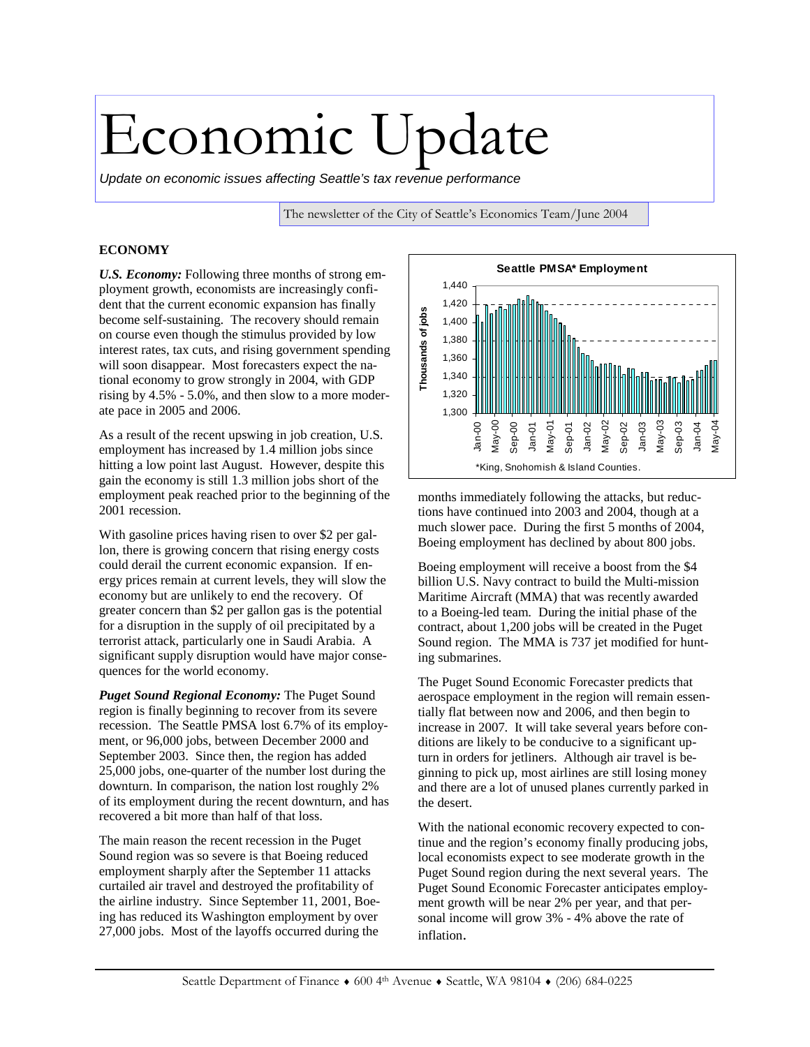# Economic Update

*Update on economic issues affecting Seattle's tax revenue performance* 

The newsletter of the City of Seattle's Economics Team/June 2004

## **ECONOMY**

*U.S. Economy:* Following three months of strong employment growth, economists are increasingly confident that the current economic expansion has finally become self-sustaining. The recovery should remain on course even though the stimulus provided by low interest rates, tax cuts, and rising government spending will soon disappear. Most forecasters expect the national economy to grow strongly in 2004, with GDP rising by 4.5% - 5.0%, and then slow to a more moderate pace in 2005 and 2006.

As a result of the recent upswing in job creation, U.S. employment has increased by 1.4 million jobs since hitting a low point last August. However, despite this gain the economy is still 1.3 million jobs short of the employment peak reached prior to the beginning of the 2001 recession.

With gasoline prices having risen to over \$2 per gallon, there is growing concern that rising energy costs could derail the current economic expansion. If energy prices remain at current levels, they will slow the economy but are unlikely to end the recovery. Of greater concern than \$2 per gallon gas is the potential for a disruption in the supply of oil precipitated by a terrorist attack, particularly one in Saudi Arabia. A significant supply disruption would have major consequences for the world economy.

*Puget Sound Regional Economy:* The Puget Sound region is finally beginning to recover from its severe recession. The Seattle PMSA lost 6.7% of its employment, or 96,000 jobs, between December 2000 and September 2003. Since then, the region has added 25,000 jobs, one-quarter of the number lost during the downturn. In comparison, the nation lost roughly 2% of its employment during the recent downturn, and has recovered a bit more than half of that loss.

The main reason the recent recession in the Puget Sound region was so severe is that Boeing reduced employment sharply after the September 11 attacks curtailed air travel and destroyed the profitability of the airline industry. Since September 11, 2001, Boeing has reduced its Washington employment by over 27,000 jobs. Most of the layoffs occurred during the



months immediately following the attacks, but reductions have continued into 2003 and 2004, though at a much slower pace. During the first 5 months of 2004, Boeing employment has declined by about 800 jobs.

Boeing employment will receive a boost from the \$4 billion U.S. Navy contract to build the Multi-mission Maritime Aircraft (MMA) that was recently awarded to a Boeing-led team. During the initial phase of the contract, about 1,200 jobs will be created in the Puget Sound region. The MMA is 737 jet modified for hunting submarines.

The Puget Sound Economic Forecaster predicts that aerospace employment in the region will remain essentially flat between now and 2006, and then begin to increase in 2007. It will take several years before conditions are likely to be conducive to a significant upturn in orders for jetliners. Although air travel is beginning to pick up, most airlines are still losing money and there are a lot of unused planes currently parked in the desert.

With the national economic recovery expected to continue and the region's economy finally producing jobs, local economists expect to see moderate growth in the Puget Sound region during the next several years. The Puget Sound Economic Forecaster anticipates employment growth will be near 2% per year, and that personal income will grow 3% - 4% above the rate of inflation.